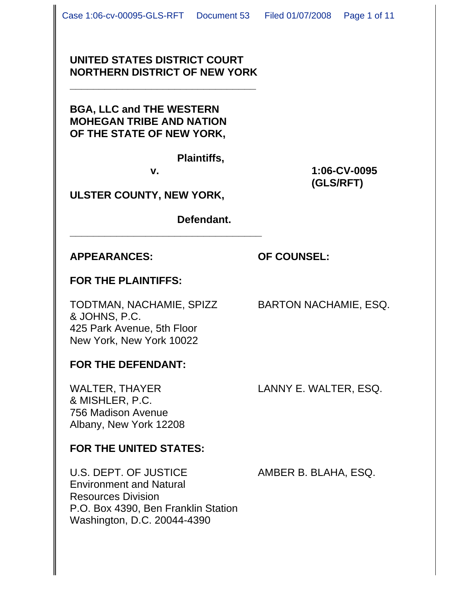## **UNITED STATES DISTRICT COURT NORTHERN DISTRICT OF NEW YORK**

**\_\_\_\_\_\_\_\_\_\_\_\_\_\_\_\_\_\_\_\_\_\_\_\_\_\_\_\_\_\_\_\_**

**BGA, LLC and THE WESTERN MOHEGAN TRIBE AND NATION OF THE STATE OF NEW YORK,**

**Plaintiffs,** 

**\_\_\_\_\_\_\_\_\_\_\_\_\_\_\_\_\_\_\_\_\_\_\_\_\_\_\_\_\_\_\_\_\_**

**v. 1:06-CV-0095 (GLS/RFT)**

**ULSTER COUNTY, NEW YORK,**

**Defendant.**

## **APPEARANCES: OF COUNSEL:**

## **FOR THE PLAINTIFFS:**

TODTMAN, NACHAMIE, SPIZZ BARTON NACHAMIE, ESQ. & JOHNS, P.C. 425 Park Avenue, 5th Floor New York, New York 10022

**FOR THE DEFENDANT:**

WALTER, THAYER LANNY E. WALTER, ESQ. & MISHLER, P.C. 756 Madison Avenue Albany, New York 12208

## **FOR THE UNITED STATES:**

U.S. DEPT. OF JUSTICE AMBER B. BLAHA, ESQ. Environment and Natural Resources Division P.O. Box 4390, Ben Franklin Station Washington, D.C. 20044-4390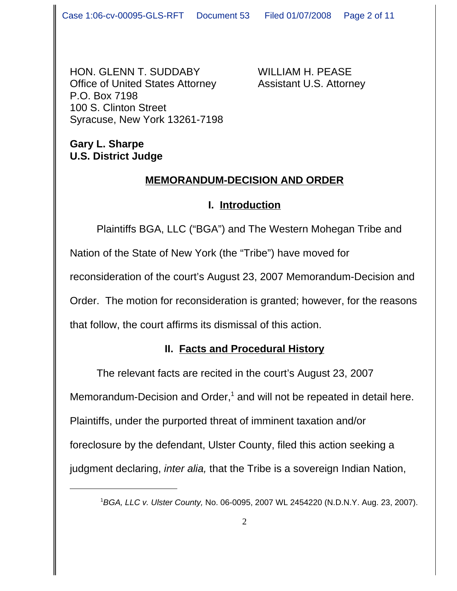HON. GLENN T. SUDDABY WILLIAM H. PEASE Office of United States Attorney Assistant U.S. Attorney P.O. Box 7198 100 S. Clinton Street Syracuse, New York 13261-7198

## **Gary L. Sharpe U.S. District Judge**

## **MEMORANDUM-DECISION AND ORDER**

## **I. Introduction**

Plaintiffs BGA, LLC ("BGA") and The Western Mohegan Tribe and Nation of the State of New York (the "Tribe") have moved for reconsideration of the court's August 23, 2007 Memorandum-Decision and Order. The motion for reconsideration is granted; however, for the reasons that follow, the court affirms its dismissal of this action.

# **II. Facts and Procedural History**

The relevant facts are recited in the court's August 23, 2007 Memorandum-Decision and Order,<sup>1</sup> and will not be repeated in detail here. Plaintiffs, under the purported threat of imminent taxation and/or foreclosure by the defendant, Ulster County, filed this action seeking a judgment declaring, *inter alia,* that the Tribe is a sovereign Indian Nation,

<sup>1</sup> *BGA, LLC v. Ulster County,* No. 06-0095, 2007 WL 2454220 (N.D.N.Y. Aug. 23, 2007).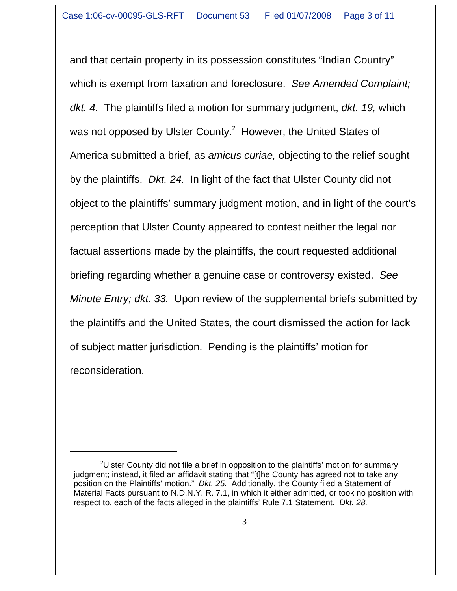and that certain property in its possession constitutes "Indian Country" which is exempt from taxation and foreclosure. *See Amended Complaint; dkt. 4.* The plaintiffs filed a motion for summary judgment, *dkt. 19,* which was not opposed by Ulster County. $^2$  However, the United States of America submitted a brief, as *amicus curiae,* objecting to the relief sought by the plaintiffs. *Dkt. 24.* In light of the fact that Ulster County did not object to the plaintiffs' summary judgment motion, and in light of the court's perception that Ulster County appeared to contest neither the legal nor factual assertions made by the plaintiffs, the court requested additional briefing regarding whether a genuine case or controversy existed. *See Minute Entry; dkt. 33.* Upon review of the supplemental briefs submitted by the plaintiffs and the United States, the court dismissed the action for lack of subject matter jurisdiction. Pending is the plaintiffs' motion for reconsideration.

<sup>&</sup>lt;sup>2</sup>Ulster County did not file a brief in opposition to the plaintiffs' motion for summary judgment; instead, it filed an affidavit stating that "[t]he County has agreed not to take any position on the Plaintiffs' motion." *Dkt. 25.* Additionally, the County filed a Statement of Material Facts pursuant to N.D.N.Y. R. 7.1, in which it either admitted, or took no position with respect to, each of the facts alleged in the plaintiffs' Rule 7.1 Statement. *Dkt. 28.*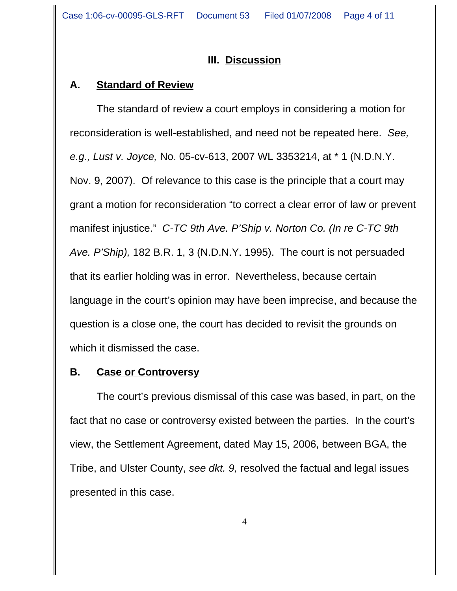## **III. Discussion**

## **A. Standard of Review**

The standard of review a court employs in considering a motion for reconsideration is well-established, and need not be repeated here. *See, e.g., Lust v. Joyce,* No. 05-cv-613, 2007 WL 3353214, at \* 1 (N.D.N.Y. Nov. 9, 2007). Of relevance to this case is the principle that a court may grant a motion for reconsideration "to correct a clear error of law or prevent manifest injustice." *C-TC 9th Ave. P'Ship v. Norton Co. (In re C-TC 9th Ave. P'Ship),* 182 B.R. 1, 3 (N.D.N.Y. 1995). The court is not persuaded that its earlier holding was in error. Nevertheless, because certain language in the court's opinion may have been imprecise, and because the question is a close one, the court has decided to revisit the grounds on which it dismissed the case.

## **B. Case or Controversy**

The court's previous dismissal of this case was based, in part, on the fact that no case or controversy existed between the parties. In the court's view, the Settlement Agreement, dated May 15, 2006, between BGA, the Tribe, and Ulster County, *see dkt. 9,* resolved the factual and legal issues presented in this case.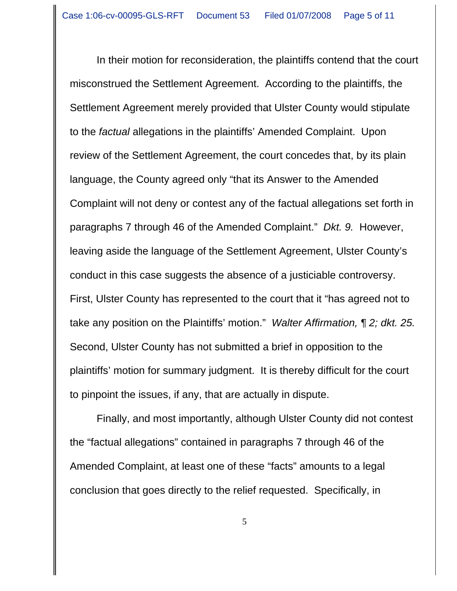In their motion for reconsideration, the plaintiffs contend that the court misconstrued the Settlement Agreement. According to the plaintiffs, the Settlement Agreement merely provided that Ulster County would stipulate to the *factual* allegations in the plaintiffs' Amended Complaint. Upon review of the Settlement Agreement, the court concedes that, by its plain language, the County agreed only "that its Answer to the Amended Complaint will not deny or contest any of the factual allegations set forth in paragraphs 7 through 46 of the Amended Complaint." *Dkt. 9.* However, leaving aside the language of the Settlement Agreement, Ulster County's conduct in this case suggests the absence of a justiciable controversy. First, Ulster County has represented to the court that it "has agreed not to take any position on the Plaintiffs' motion." *Walter Affirmation, ¶ 2; dkt. 25.* Second, Ulster County has not submitted a brief in opposition to the plaintiffs' motion for summary judgment. It is thereby difficult for the court to pinpoint the issues, if any, that are actually in dispute.

Finally, and most importantly, although Ulster County did not contest the "factual allegations" contained in paragraphs 7 through 46 of the Amended Complaint, at least one of these "facts" amounts to a legal conclusion that goes directly to the relief requested. Specifically, in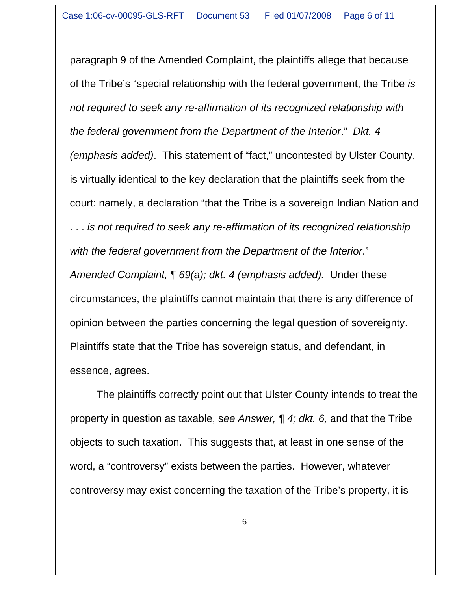paragraph 9 of the Amended Complaint, the plaintiffs allege that because of the Tribe's "special relationship with the federal government, the Tribe *is not required to seek any re-affirmation of its recognized relationship with the federal government from the Department of the Interior*." *Dkt. 4 (emphasis added)*. This statement of "fact," uncontested by Ulster County, is virtually identical to the key declaration that the plaintiffs seek from the court: namely, a declaration "that the Tribe is a sovereign Indian Nation and . . . *is not required to seek any re-affirmation of its recognized relationship with the federal government from the Department of the Interior*." *Amended Complaint, ¶ 69(a); dkt. 4 (emphasis added).* Under these circumstances, the plaintiffs cannot maintain that there is any difference of opinion between the parties concerning the legal question of sovereignty. Plaintiffs state that the Tribe has sovereign status, and defendant, in essence, agrees.

The plaintiffs correctly point out that Ulster County intends to treat the property in question as taxable, s*ee Answer, ¶ 4; dkt. 6,* and that the Tribe objects to such taxation. This suggests that, at least in one sense of the word, a "controversy" exists between the parties. However, whatever controversy may exist concerning the taxation of the Tribe's property, it is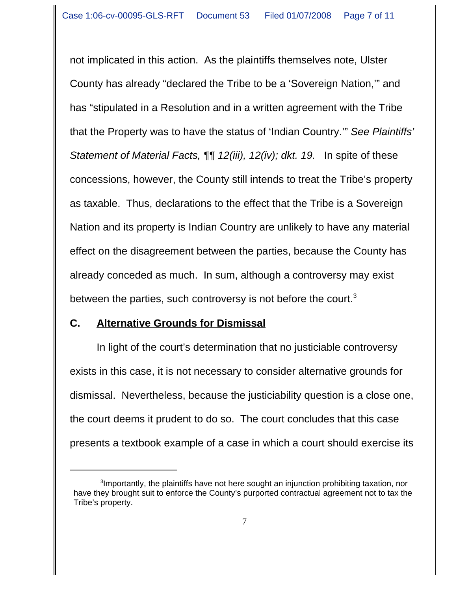not implicated in this action. As the plaintiffs themselves note, Ulster County has already "declared the Tribe to be a 'Sovereign Nation,'" and has "stipulated in a Resolution and in a written agreement with the Tribe that the Property was to have the status of 'Indian Country.'" *See Plaintiffs' Statement of Material Facts,* **[1]** 12(*iii*), 12(*iv*); dkt. 19. In spite of these concessions, however, the County still intends to treat the Tribe's property as taxable. Thus, declarations to the effect that the Tribe is a Sovereign Nation and its property is Indian Country are unlikely to have any material effect on the disagreement between the parties, because the County has already conceded as much. In sum, although a controversy may exist between the parties, such controversy is not before the court. $3$ 

## **C. Alternative Grounds for Dismissal**

In light of the court's determination that no justiciable controversy exists in this case, it is not necessary to consider alternative grounds for dismissal. Nevertheless, because the justiciability question is a close one, the court deems it prudent to do so. The court concludes that this case presents a textbook example of a case in which a court should exercise its

<sup>&</sup>lt;sup>3</sup>Importantly, the plaintiffs have not here sought an injunction prohibiting taxation, nor have they brought suit to enforce the County's purported contractual agreement not to tax the Tribe's property.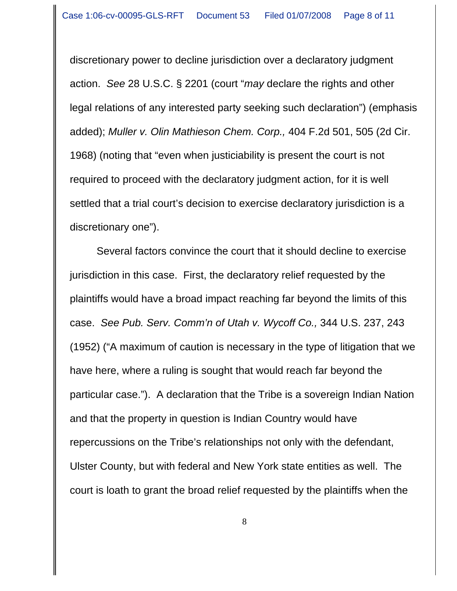discretionary power to decline jurisdiction over a declaratory judgment action. *See* 28 U.S.C. § 2201 (court "*may* declare the rights and other legal relations of any interested party seeking such declaration") (emphasis added); *Muller v. Olin Mathieson Chem. Corp.,* 404 F.2d 501, 505 (2d Cir. 1968) (noting that "even when justiciability is present the court is not required to proceed with the declaratory judgment action, for it is well settled that a trial court's decision to exercise declaratory jurisdiction is a discretionary one").

Several factors convince the court that it should decline to exercise jurisdiction in this case. First, the declaratory relief requested by the plaintiffs would have a broad impact reaching far beyond the limits of this case. *See Pub. Serv. Comm'n of Utah v. Wycoff Co.,* 344 U.S. 237, 243 (1952) ("A maximum of caution is necessary in the type of litigation that we have here, where a ruling is sought that would reach far beyond the particular case."). A declaration that the Tribe is a sovereign Indian Nation and that the property in question is Indian Country would have repercussions on the Tribe's relationships not only with the defendant, Ulster County, but with federal and New York state entities as well. The court is loath to grant the broad relief requested by the plaintiffs when the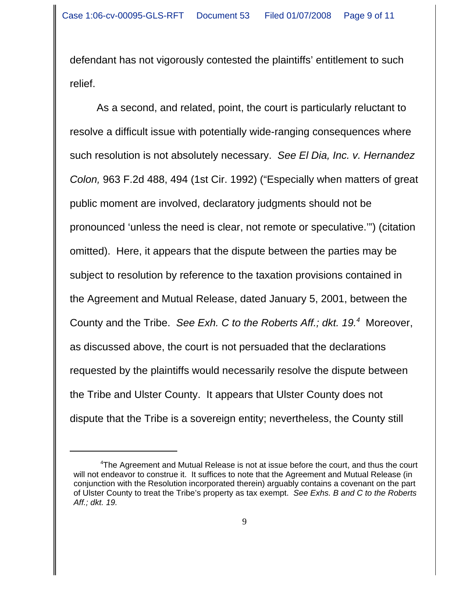defendant has not vigorously contested the plaintiffs' entitlement to such relief.

As a second, and related, point, the court is particularly reluctant to resolve a difficult issue with potentially wide-ranging consequences where such resolution is not absolutely necessary. *See El Dia, Inc. v. Hernandez Colon,* 963 F.2d 488, 494 (1st Cir. 1992) ("Especially when matters of great public moment are involved, declaratory judgments should not be pronounced 'unless the need is clear, not remote or speculative.'") (citation omitted). Here, it appears that the dispute between the parties may be subject to resolution by reference to the taxation provisions contained in the Agreement and Mutual Release, dated January 5, 2001, between the County and the Tribe. See Exh. C to the Roberts Aff.; dkt. 19.<sup>4</sup> Moreover, as discussed above, the court is not persuaded that the declarations requested by the plaintiffs would necessarily resolve the dispute between the Tribe and Ulster County. It appears that Ulster County does not dispute that the Tribe is a sovereign entity; nevertheless, the County still

<sup>&</sup>lt;sup>4</sup>The Agreement and Mutual Release is not at issue before the court, and thus the court will not endeavor to construe it. It suffices to note that the Agreement and Mutual Release (in conjunction with the Resolution incorporated therein) arguably contains a covenant on the part of Ulster County to treat the Tribe's property as tax exempt. *See Exhs. B and C to the Roberts Aff.; dkt. 19.*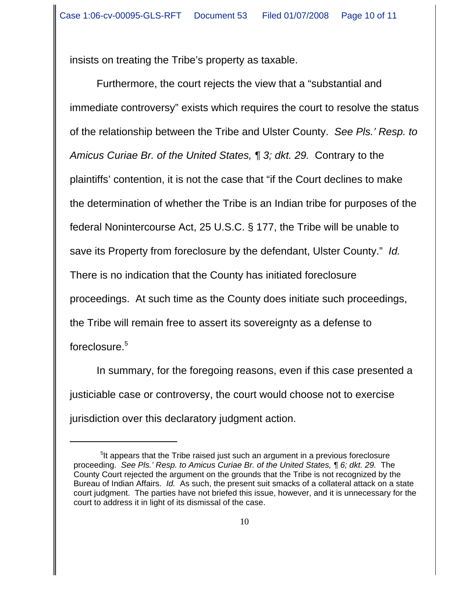insists on treating the Tribe's property as taxable.

Furthermore, the court rejects the view that a "substantial and immediate controversy" exists which requires the court to resolve the status of the relationship between the Tribe and Ulster County. *See Pls.' Resp. to Amicus Curiae Br. of the United States, ¶ 3; dkt. 29.* Contrary to the plaintiffs' contention, it is not the case that "if the Court declines to make the determination of whether the Tribe is an Indian tribe for purposes of the federal Nonintercourse Act, 25 U.S.C. § 177, the Tribe will be unable to save its Property from foreclosure by the defendant, Ulster County." *Id.* There is no indication that the County has initiated foreclosure proceedings. At such time as the County does initiate such proceedings, the Tribe will remain free to assert its sovereignty as a defense to foreclosure.<sup>5</sup>

In summary, for the foregoing reasons, even if this case presented a justiciable case or controversy, the court would choose not to exercise jurisdiction over this declaratory judgment action.

<sup>&</sup>lt;sup>5</sup>It appears that the Tribe raised just such an argument in a previous foreclosure proceeding. *See Pls.' Resp. to Amicus Curiae Br. of the United States,* 16; dkt. 29. The County Court rejected the argument on the grounds that the Tribe is not recognized by the Bureau of Indian Affairs. *Id.* As such, the present suit smacks of a collateral attack on a state court judgment. The parties have not briefed this issue, however, and it is unnecessary for the court to address it in light of its dismissal of the case.